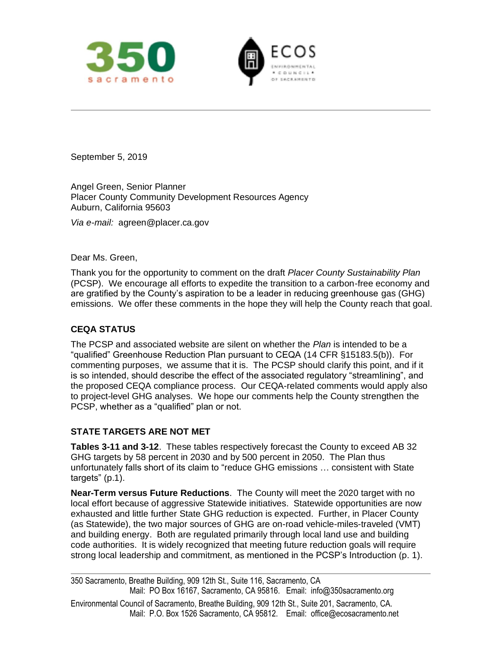



September 5, 2019

Angel Green, Senior Planner Placer County Community Development Resources Agency Auburn, California 95603

*Via e-mail:* agreen@placer.ca.gov

Dear Ms. Green,

Thank you for the opportunity to comment on the draft *Placer County Sustainability Plan* (PCSP). We encourage all efforts to expedite the transition to a carbon-free economy and are gratified by the County's aspiration to be a leader in reducing greenhouse gas (GHG) emissions. We offer these comments in the hope they will help the County reach that goal.

## **CEQA STATUS**

The PCSP and associated website are silent on whether the *Plan* is intended to be a "qualified" Greenhouse Reduction Plan pursuant to CEQA (14 CFR §15183.5(b)). For commenting purposes, we assume that it is. The PCSP should clarify this point, and if it is so intended, should describe the effect of the associated regulatory "streamlining", and the proposed CEQA compliance process. Our CEQA-related comments would apply also to project-level GHG analyses. We hope our comments help the County strengthen the PCSP, whether as a "qualified" plan or not.

### **STATE TARGETS ARE NOT MET**

**Tables 3-11 and 3-12**. These tables respectively forecast the County to exceed AB 32 GHG targets by 58 percent in 2030 and by 500 percent in 2050. The Plan thus unfortunately falls short of its claim to "reduce GHG emissions … consistent with State targets" (p.1).

**Near-Term versus Future Reductions**. The County will meet the 2020 target with no local effort because of aggressive Statewide initiatives. Statewide opportunities are now exhausted and little further State GHG reduction is expected. Further, in Placer County (as Statewide), the two major sources of GHG are on-road vehicle-miles-traveled (VMT) and building energy. Both are regulated primarily through local land use and building code authorities. It is widely recognized that meeting future reduction goals will require strong local leadership and commitment, as mentioned in the PCSP's Introduction (p. 1).

<sup>350</sup> Sacramento, Breathe Building, 909 12th St., Suite 116, Sacramento, CA Mail: PO Box 16167, Sacramento, CA 95816. Email: info@350sacramento.org

Environmental Council of Sacramento, Breathe Building, 909 12th St., Suite 201, Sacramento, CA. Mail: P.O. Box 1526 Sacramento, CA 95812. Email: office@ecosacramento.net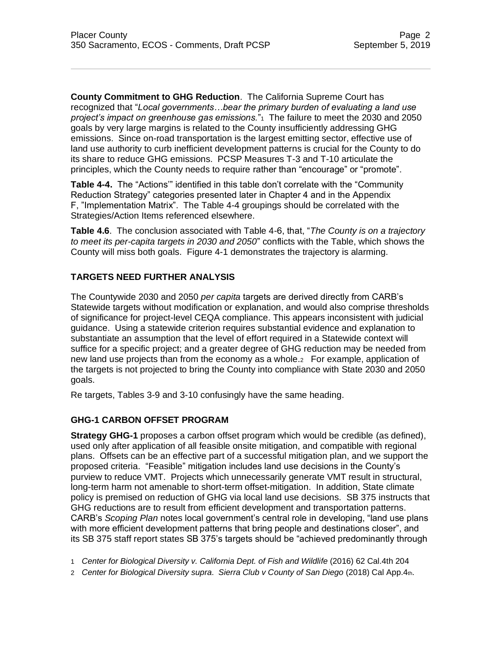**County Commitment to GHG Reduction**. The California Supreme Court has recognized that "*Local governments…bear the primary burden of evaluating a land use project's impact on greenhouse gas emissions.*"<sup>1</sup> The failure to meet the 2030 and 2050 goals by very large margins is related to the County insufficiently addressing GHG emissions. Since on-road transportation is the largest emitting sector, effective use of land use authority to curb inefficient development patterns is crucial for the County to do its share to reduce GHG emissions. PCSP Measures T-3 and T-10 articulate the principles, which the County needs to require rather than "encourage" or "promote".

**Table 4-4.** The "Actions'" identified in this table don't correlate with the "Community Reduction Strategy" categories presented later in Chapter 4 and in the Appendix F, "Implementation Matrix". The Table 4-4 groupings should be correlated with the Strategies/Action Items referenced elsewhere.

**Table 4.6**. The conclusion associated with Table 4-6, that, "*The County is on a trajectory to meet its per-capita targets in 2030 and 2050*" conflicts with the Table, which shows the County will miss both goals. Figure 4-1 demonstrates the trajectory is alarming.

# **TARGETS NEED FURTHER ANALYSIS**

The Countywide 2030 and 2050 *per capita* targets are derived directly from CARB's Statewide targets without modification or explanation, and would also comprise thresholds of significance for project-level CEQA compliance. This appears inconsistent with judicial guidance. Using a statewide criterion requires substantial evidence and explanation to substantiate an assumption that the level of effort required in a Statewide context will suffice for a specific project; and a greater degree of GHG reduction may be needed from new land use projects than from the economy as a whole.2 For example, application of the targets is not projected to bring the County into compliance with State 2030 and 2050 goals.

Re targets, Tables 3-9 and 3-10 confusingly have the same heading.

# **GHG-1 CARBON OFFSET PROGRAM**

**Strategy GHG-1** proposes a carbon offset program which would be credible (as defined), used only after application of all feasible onsite mitigation, and compatible with regional plans. Offsets can be an effective part of a successful mitigation plan, and we support the proposed criteria. "Feasible" mitigation includes land use decisions in the County's purview to reduce VMT. Projects which unnecessarily generate VMT result in structural, long-term harm not amenable to short-term offset-mitigation. In addition, State climate policy is premised on reduction of GHG via local land use decisions. SB 375 instructs that GHG reductions are to result from efficient development and transportation patterns. CARB's *Scoping Plan* notes local government's central role in developing, "land use plans with more efficient development patterns that bring people and destinations closer", and its SB 375 staff report states SB 375's targets should be "achieved predominantly through

1 *Center for Biological Diversity v. California Dept. of Fish and Wildlife* (2016) 62 Cal.4th 204

2 *Center for Biological Diversity supra*. *Sierra Club v County of San Diego* (2018) Cal App.4th.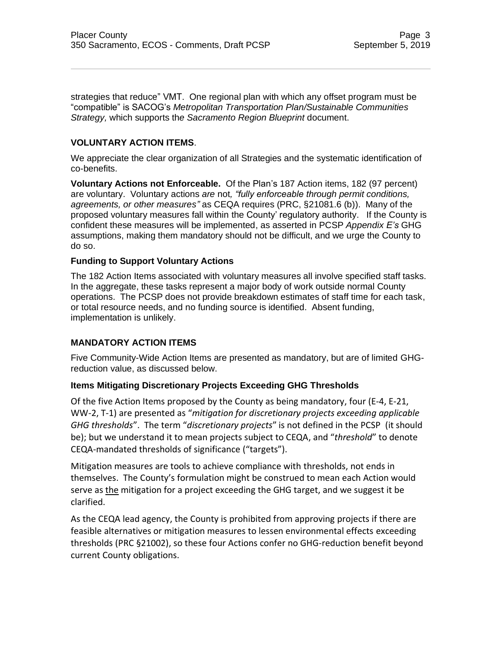strategies that reduce" VMT. One regional plan with which any offset program must be "compatible" is SACOG's *Metropolitan Transportation Plan/Sustainable Communities Strategy,* which supports th*e Sacramento Region Blueprint* document.

## **VOLUNTARY ACTION ITEMS**.

We appreciate the clear organization of all Strategies and the systematic identification of co-benefits.

**Voluntary Actions not Enforceable.** Of the Plan's 187 Action items, 182 (97 percent) are voluntary. Voluntary actions *are* not*, "fully enforceable through permit conditions, agreements, or other measures"* as CEQA requires (PRC, §21081.6 (b)). Many of the proposed voluntary measures fall within the County' regulatory authority. If the County is confident these measures will be implemented, as asserted in PCSP *Appendix E's* GHG assumptions, making them mandatory should not be difficult, and we urge the County to do so.

### **Funding to Support Voluntary Actions**

The 182 Action Items associated with voluntary measures all involve specified staff tasks. In the aggregate, these tasks represent a major body of work outside normal County operations. The PCSP does not provide breakdown estimates of staff time for each task, or total resource needs, and no funding source is identified. Absent funding, implementation is unlikely.

### **MANDATORY ACTION ITEMS**

Five Community-Wide Action Items are presented as mandatory, but are of limited GHGreduction value, as discussed below.

### **Items Mitigating Discretionary Projects Exceeding GHG Thresholds**

Of the five Action Items proposed by the County as being mandatory, four (E-4, E-21, WW-2, T-1) are presented as "*mitigation for discretionary projects exceeding applicable GHG thresholds*". The term "*discretionary projects*" is not defined in the PCSP (it should be); but we understand it to mean projects subject to CEQA, and "*threshold*" to denote CEQA-mandated thresholds of significance ("targets").

Mitigation measures are tools to achieve compliance with thresholds, not ends in themselves. The County's formulation might be construed to mean each Action would serve as the mitigation for a project exceeding the GHG target, and we suggest it be clarified.

As the CEQA lead agency, the County is prohibited from approving projects if there are feasible alternatives or mitigation measures to lessen environmental effects exceeding thresholds (PRC §21002), so these four Actions confer no GHG-reduction benefit beyond current County obligations.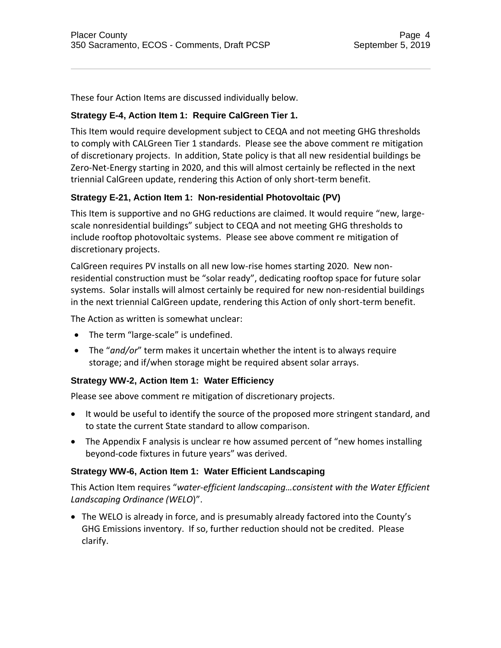These four Action Items are discussed individually below.

# **Strategy E-4, Action Item 1: Require CalGreen Tier 1.**

This Item would require development subject to CEQA and not meeting GHG thresholds to comply with CALGreen Tier 1 standards. Please see the above comment re mitigation of discretionary projects. In addition, State policy is that all new residential buildings be Zero-Net-Energy starting in 2020, and this will almost certainly be reflected in the next triennial CalGreen update, rendering this Action of only short-term benefit.

# **Strategy E-21, Action Item 1: Non-residential Photovoltaic (PV)**

This Item is supportive and no GHG reductions are claimed. It would require "new, largescale nonresidential buildings" subject to CEQA and not meeting GHG thresholds to include rooftop photovoltaic systems. Please see above comment re mitigation of discretionary projects.

CalGreen requires PV installs on all new low-rise homes starting 2020. New nonresidential construction must be "solar ready", dedicating rooftop space for future solar systems. Solar installs will almost certainly be required for new non-residential buildings in the next triennial CalGreen update, rendering this Action of only short-term benefit.

The Action as written is somewhat unclear:

- The term "large-scale" is undefined.
- The "*and/or*" term makes it uncertain whether the intent is to always require storage; and if/when storage might be required absent solar arrays.

# **Strategy WW-2, Action Item 1: Water Efficiency**

Please see above comment re mitigation of discretionary projects.

- It would be useful to identify the source of the proposed more stringent standard, and to state the current State standard to allow comparison.
- The Appendix F analysis is unclear re how assumed percent of "new homes installing beyond-code fixtures in future years" was derived.

# **Strategy WW-6, Action Item 1: Water Efficient Landscaping**

This Action Item requires "*water-efficient landscaping…consistent with the Water Efficient Landscaping Ordinance (WELO*)".

• The WELO is already in force, and is presumably already factored into the County's GHG Emissions inventory. If so, further reduction should not be credited. Please clarify.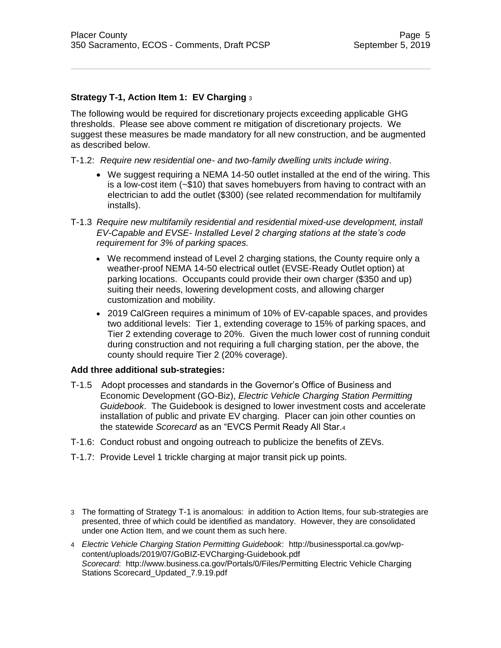### **Strategy T-1, Action Item 1: EV Charging** <sup>3</sup>

The following would be required for discretionary projects exceeding applicable GHG thresholds. Please see above comment re mitigation of discretionary projects. We suggest these measures be made mandatory for all new construction, and be augmented as described below.

### T-1.2: *Require new residential one- and two-family dwelling units include wiring*.

- We suggest requiring a NEMA 14-50 outlet installed at the end of the wiring. This is a low-cost item  $(-\bar{$}10)$  that saves homebuyers from having to contract with an electrician to add the outlet (\$300) (see related recommendation for multifamily installs).
- T-1.3 *Require new multifamily residential and residential mixed-use development, install EV-Capable and EVSE- Installed Level 2 charging stations at the state's code requirement for 3% of parking spaces.*
	- We recommend instead of Level 2 charging stations, the County require only a weather-proof NEMA 14-50 electrical outlet (EVSE-Ready Outlet option) at parking locations. Occupants could provide their own charger (\$350 and up) suiting their needs, lowering development costs, and allowing charger customization and mobility.
	- 2019 CalGreen requires a minimum of 10% of EV-capable spaces, and provides two additional levels: Tier 1, extending coverage to 15% of parking spaces, and Tier 2 extending coverage to 20%. Given the much lower cost of running conduit during construction and not requiring a full charging station, per the above, the county should require Tier 2 (20% coverage).

#### **Add three additional sub-strategies:**

- T-1.5 Adopt processes and standards in the Governor's Office of Business and Economic Development (GO-Biz), *[Electric Vehicle Charging Station Permitting](http://businessportal.ca.gov/wp-content/uploads/2019/07/GoBIZ-EVCharging-Guidebook.pdf)  [Guidebook](http://businessportal.ca.gov/wp-content/uploads/2019/07/GoBIZ-EVCharging-Guidebook.pdf)*. The Guidebook is designed to lower investment costs and accelerate installation of public and private EV charging. Placer can join other counties on the statewide *[Scorecard](http://www.business.ca.gov/Portals/0/Files/Permitting%20Electric%20Vehicle%20Charging%20Stations%20Scorecard_Updated_7.9.19.pdf)* as an "EVCS Permit Ready All Star.<sup>4</sup>
- T-1.6: Conduct robust and ongoing outreach to publicize the benefits of ZEVs.
- T-1.7: Provide Level 1 trickle charging at major transit pick up points.
- 3 The formatting of Strategy T-1 is anomalous: in addition to Action Items, four sub-strategies are presented, three of which could be identified as mandatory. However, they are consolidated under one Action Item, and we count them as such here.
- 4 *Electric Vehicle Charging Station Permitting Guidebook*: http://businessportal.ca.gov/wpcontent/uploads/2019/07/GoBIZ-EVCharging-Guidebook.pdf *Scorecard*: http://www.business.ca.gov/Portals/0/Files/Permitting Electric Vehicle Charging Stations Scorecard\_Updated\_7.9.19.pdf